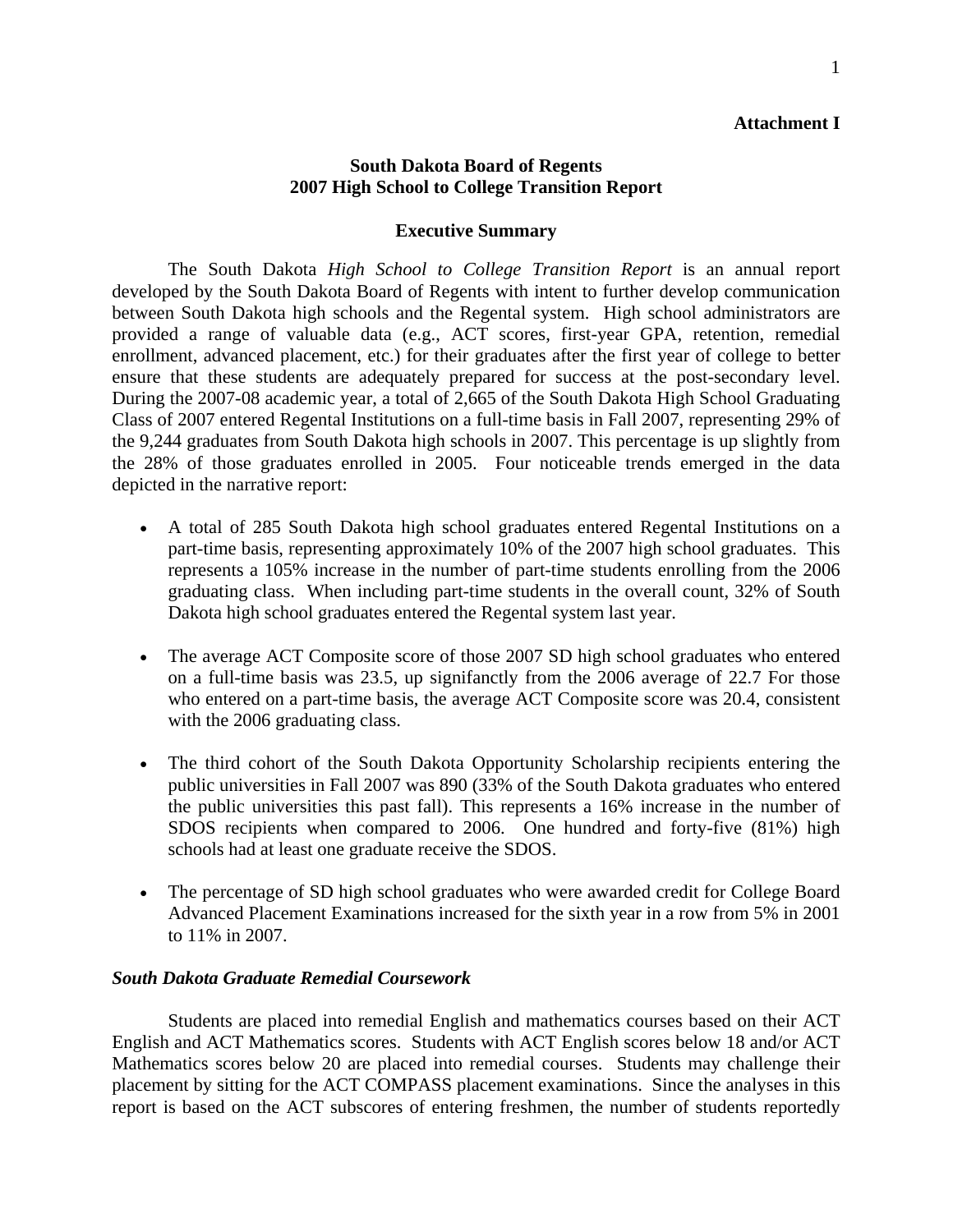## **Attachment I**

# **South Dakota Board of Regents 2007 High School to College Transition Report**

### **Executive Summary**

The South Dakota *High School to College Transition Report* is an annual report developed by the South Dakota Board of Regents with intent to further develop communication between South Dakota high schools and the Regental system. High school administrators are provided a range of valuable data (e.g., ACT scores, first-year GPA, retention, remedial enrollment, advanced placement, etc.) for their graduates after the first year of college to better ensure that these students are adequately prepared for success at the post-secondary level. During the 2007-08 academic year, a total of 2,665 of the South Dakota High School Graduating Class of 2007 entered Regental Institutions on a full-time basis in Fall 2007, representing 29% of the 9,244 graduates from South Dakota high schools in 2007. This percentage is up slightly from the 28% of those graduates enrolled in 2005. Four noticeable trends emerged in the data depicted in the narrative report:

- A total of 285 South Dakota high school graduates entered Regental Institutions on a part-time basis, representing approximately 10% of the 2007 high school graduates. This represents a 105% increase in the number of part-time students enrolling from the 2006 graduating class. When including part-time students in the overall count, 32% of South Dakota high school graduates entered the Regental system last year.
- The average ACT Composite score of those 2007 SD high school graduates who entered on a full-time basis was 23.5, up signifanctly from the 2006 average of 22.7 For those who entered on a part-time basis, the average ACT Composite score was 20.4, consistent with the 2006 graduating class.
- The third cohort of the South Dakota Opportunity Scholarship recipients entering the public universities in Fall 2007 was 890 (33% of the South Dakota graduates who entered the public universities this past fall). This represents a 16% increase in the number of SDOS recipients when compared to 2006. One hundred and forty-five (81%) high schools had at least one graduate receive the SDOS.
- The percentage of SD high school graduates who were awarded credit for College Board Advanced Placement Examinations increased for the sixth year in a row from 5% in 2001 to 11% in 2007.

### *South Dakota Graduate Remedial Coursework*

Students are placed into remedial English and mathematics courses based on their ACT English and ACT Mathematics scores. Students with ACT English scores below 18 and/or ACT Mathematics scores below 20 are placed into remedial courses. Students may challenge their placement by sitting for the ACT COMPASS placement examinations. Since the analyses in this report is based on the ACT subscores of entering freshmen, the number of students reportedly